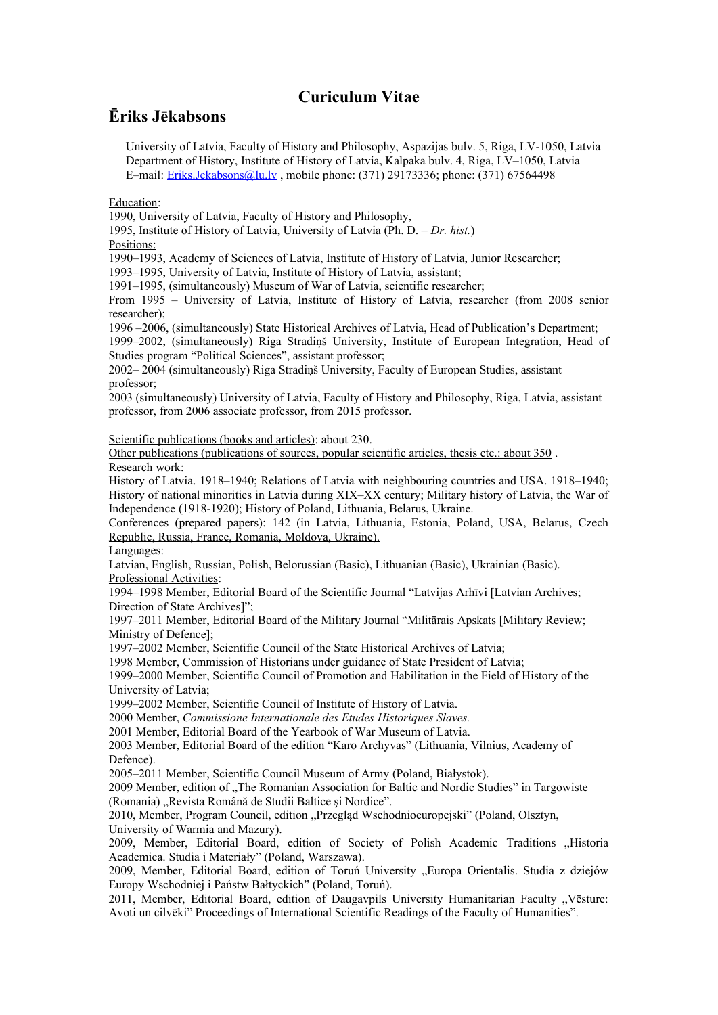## **Curiculum Vitae**

## **Ēriks Jēkabsons**

University of Latvia, Faculty of History and Philosophy, Aspazijas bulv. 5, Riga, LV-1050, Latvia Department of History, Institute of History of Latvia, Kalpaka bulv. 4, Riga, LV–1050, Latvia E–mail: [Eriks.Jekabsons@lu.lv](mailto:Eriks.Jekabsons@lu.lv) , mobile phone: (371) 29173336; phone: (371) 67564498

## Education:

1990, University of Latvia, Faculty of History and Philosophy,

1995, Institute of History of Latvia, University of Latvia (Ph. D. – *Dr. hist.*)

## Positions:

1990–1993, Academy of Sciences of Latvia, Institute of History of Latvia, Junior Researcher;

1993–1995, University of Latvia, Institute of History of Latvia, assistant;

1991–1995, (simultaneously) Museum of War of Latvia, scientific researcher;

From 1995 – University of Latvia, Institute of History of Latvia, researcher (from 2008 senior researcher);

1996 –2006, (simultaneously) State Historical Archives of Latvia, Head of Publication's Department;

1999–2002, (simultaneously) Riga Stradiņš University, Institute of European Integration, Head of Studies program "Political Sciences", assistant professor;

2002– 2004 (simultaneously) Riga Stradiņš University, Faculty of European Studies, assistant professor;

2003 (simultaneously) University of Latvia, Faculty of History and Philosophy, Riga, Latvia, assistant professor, from 2006 associate professor, from 2015 professor.

Scientific publications (books and articles): about 230.

Other publications (publications of sources, popular scientific articles, thesis etc.: about 350 . Research work:

History of Latvia. 1918–1940; Relations of Latvia with neighbouring countries and USA. 1918–1940; History of national minorities in Latvia during XIX–XX century; Military history of Latvia, the War of Independence (1918-1920); History of Poland, Lithuania, Belarus, Ukraine.

Conferences (prepared papers): 142 (in Latvia, Lithuania, Estonia, Poland, USA, Belarus, Czech Republic, Russia, France, Romania, Moldova, Ukraine).

Languages:

Latvian, English, Russian, Polish, Belorussian (Basic), Lithuanian (Basic), Ukrainian (Basic). Professional Activities:

1994–1998 Member, Editorial Board of the Scientific Journal "Latvijas Arhīvi [Latvian Archives; Direction of State Archives]";

1997–2011 Member, Editorial Board of the Military Journal "Militārais Apskats [Military Review; Ministry of Defence];

1997–2002 Member, Scientific Council of the State Historical Archives of Latvia;

1998 Member, Commission of Historians under guidance of State President of Latvia;

1999–2000 Member, Scientific Council of Promotion and Habilitation in the Field of History of the University of Latvia;

1999–2002 Member, Scientific Council of Institute of History of Latvia.

2000 Member, *Commissione Internationale des Etudes Historiques Slaves.*

2001 Member, Editorial Board of the Yearbook of War Museum of Latvia.

2003 Member, Editorial Board of the edition "Karo Archyvas" (Lithuania, Vilnius, Academy of Defence).

2005–2011 Member, Scientific Council Museum of Army (Poland, Białystok).

2009 Member, edition of "The Romanian Association for Baltic and Nordic Studies" in Targowiste (Romania) "Revista Română de Studii Baltice și Nordice".

2010, Member, Program Council, edition "Przegląd Wschodnioeuropejski" (Poland, Olsztyn, University of Warmia and Mazury).

2009, Member, Editorial Board, edition of Society of Polish Academic Traditions "Historia Academica. Studia i Materiały" (Poland, Warszawa).

2009, Member, Editorial Board, edition of Toruń University "Europa Orientalis. Studia z dziejów Europy Wschodniej i Państw Bałtyckich" (Poland, Toruń).

2011, Member, Editorial Board, edition of Daugavpils University Humanitarian Faculty "Vēsture: Avoti un cilvēki" Proceedings of International Scientific Readings of the Faculty of Humanities".